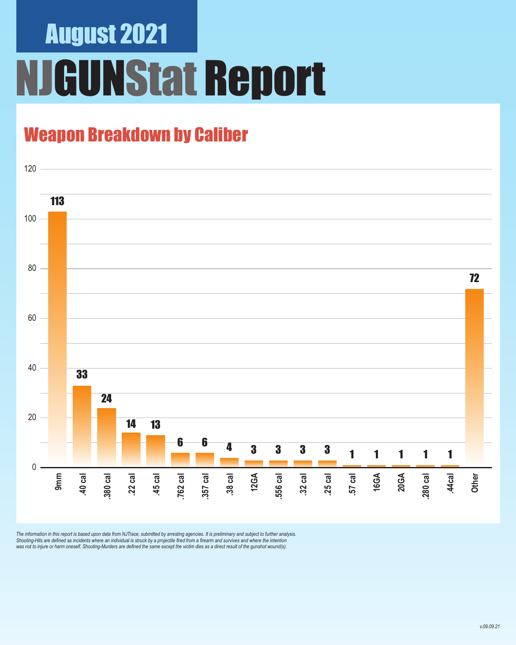# August 2021 **IGUNStat Report**

### Weapon Breakdown by Caliber



The information in this report is based upon data from NJTrace, submitted by arresting agencies. It is preliminary and subject to further analysis.<br>Shooting-Hits are defined as incidents where an individual is struck by a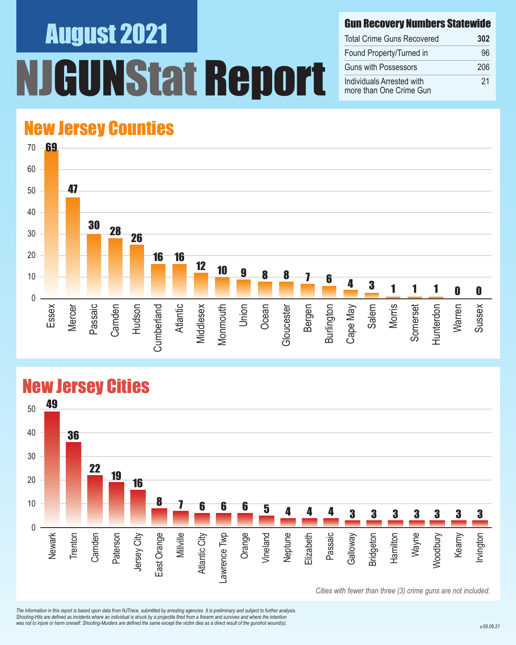# August 2021 **INStat Report**

#### Gun Recovery Numbers Statewide

| <b>Total Crime Guns Recovered</b>                    | 302 |
|------------------------------------------------------|-----|
| Found Property/Turned in                             | 96  |
| <b>Guns with Possessors</b>                          | 206 |
| Individuals Arrested with<br>more than One Crime Gun | 21  |

#### New Jersey Counties



#### New Jersey Cities



*The information in this report is based upon data from NJTrace, submitted by arresting agencies. It is preliminary and subject to further analysis. Shooting-Hits are defined as incidents where an individual is struck by a projectile fired from a firearm and survives and where the intention*  was not to injure or harm oneself. Shooting-Murders are defined the same except the victim dies as a direct result of the gunshot wound(s).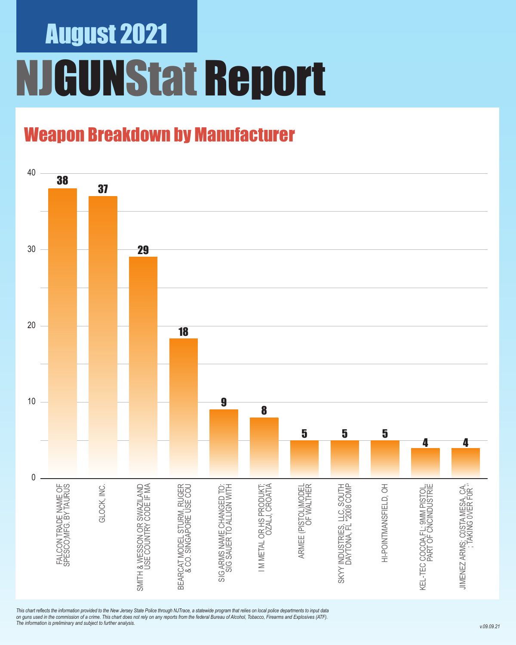### August 2021 NJGUNStat Report

### Weapon Breakdown by Manufacturer



*This chart reflects the information provided to the New Jersey State Police through NJTrace, a statewide program that relies on local police departments to input data on guns used in the commission of a crime. This chart does not rely on any reports from the federal Bureau of Alcohol, Tobacco, Firearms and Explosives (ATF). The information is preliminary and subject to further analysis.*